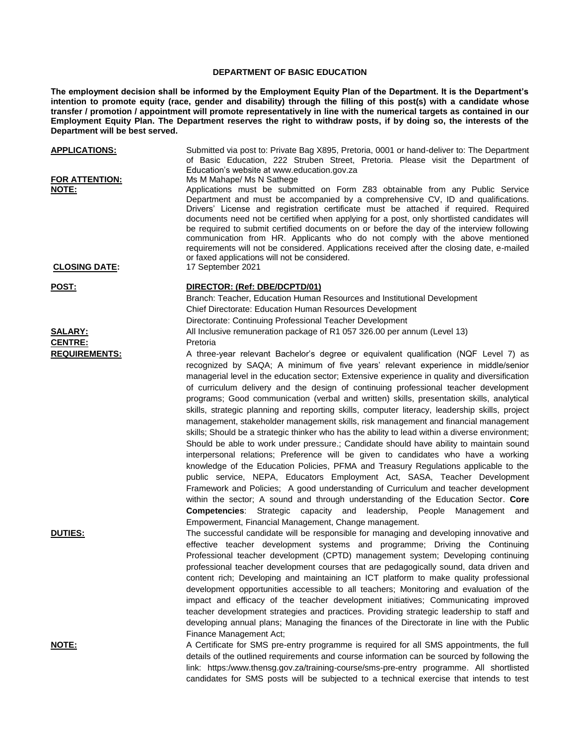## **DEPARTMENT OF BASIC EDUCATION**

**The employment decision shall be informed by the Employment Equity Plan of the Department. It is the Department's intention to promote equity (race, gender and disability) through the filling of this post(s) with a candidate whose transfer / promotion / appointment will promote representatively in line with the numerical targets as contained in our Employment Equity Plan. The Department reserves the right to withdraw posts, if by doing so, the interests of the Department will be best served.**

| <b>APPLICATIONS:</b><br><b>FOR ATTENTION:</b> | Submitted via post to: Private Bag X895, Pretoria, 0001 or hand-deliver to: The Department<br>of Basic Education, 222 Struben Street, Pretoria. Please visit the Department of<br>Education's website at www.education.gov.za<br>Ms M Mahape/ Ms N Sathege                                                                                                                                                                                                                                                                                                                                                                                                                                                                                                                                                                                                                                                                                                                                                                                                                                                                                                                                                                                                                                                                                                                                                                              |
|-----------------------------------------------|-----------------------------------------------------------------------------------------------------------------------------------------------------------------------------------------------------------------------------------------------------------------------------------------------------------------------------------------------------------------------------------------------------------------------------------------------------------------------------------------------------------------------------------------------------------------------------------------------------------------------------------------------------------------------------------------------------------------------------------------------------------------------------------------------------------------------------------------------------------------------------------------------------------------------------------------------------------------------------------------------------------------------------------------------------------------------------------------------------------------------------------------------------------------------------------------------------------------------------------------------------------------------------------------------------------------------------------------------------------------------------------------------------------------------------------------|
| NOTE:                                         | Applications must be submitted on Form Z83 obtainable from any Public Service<br>Department and must be accompanied by a comprehensive CV, ID and qualifications.<br>Drivers' License and registration certificate must be attached if required. Required<br>documents need not be certified when applying for a post, only shortlisted candidates will<br>be required to submit certified documents on or before the day of the interview following<br>communication from HR. Applicants who do not comply with the above mentioned<br>requirements will not be considered. Applications received after the closing date, e-mailed<br>or faxed applications will not be considered.                                                                                                                                                                                                                                                                                                                                                                                                                                                                                                                                                                                                                                                                                                                                                    |
| <b>CLOSING DATE:</b>                          | 17 September 2021                                                                                                                                                                                                                                                                                                                                                                                                                                                                                                                                                                                                                                                                                                                                                                                                                                                                                                                                                                                                                                                                                                                                                                                                                                                                                                                                                                                                                       |
| <u>POST:</u>                                  | DIRECTOR: (Ref: DBE/DCPTD/01)<br>Branch: Teacher, Education Human Resources and Institutional Development<br>Chief Directorate: Education Human Resources Development<br>Directorate: Continuing Professional Teacher Development                                                                                                                                                                                                                                                                                                                                                                                                                                                                                                                                                                                                                                                                                                                                                                                                                                                                                                                                                                                                                                                                                                                                                                                                       |
| <b>SALARY:</b>                                | All Inclusive remuneration package of R1 057 326.00 per annum (Level 13)                                                                                                                                                                                                                                                                                                                                                                                                                                                                                                                                                                                                                                                                                                                                                                                                                                                                                                                                                                                                                                                                                                                                                                                                                                                                                                                                                                |
| <b>CENTRE:</b>                                | Pretoria                                                                                                                                                                                                                                                                                                                                                                                                                                                                                                                                                                                                                                                                                                                                                                                                                                                                                                                                                                                                                                                                                                                                                                                                                                                                                                                                                                                                                                |
| <b>REQUIREMENTS:</b>                          | A three-year relevant Bachelor's degree or equivalent qualification (NQF Level 7) as<br>recognized by SAQA; A minimum of five years' relevant experience in middle/senior<br>managerial level in the education sector; Extensive experience in quality and diversification<br>of curriculum delivery and the design of continuing professional teacher development<br>programs; Good communication (verbal and written) skills, presentation skills, analytical<br>skills, strategic planning and reporting skills, computer literacy, leadership skills, project<br>management, stakeholder management skills, risk management and financial management<br>skills; Should be a strategic thinker who has the ability to lead within a diverse environment;<br>Should be able to work under pressure.; Candidate should have ability to maintain sound<br>interpersonal relations; Preference will be given to candidates who have a working<br>knowledge of the Education Policies, PFMA and Treasury Regulations applicable to the<br>public service, NEPA, Educators Employment Act, SASA, Teacher Development<br>Framework and Policies; A good understanding of Curriculum and teacher development<br>within the sector; A sound and through understanding of the Education Sector. Core<br><b>Competencies:</b> Strategic capacity and leadership, People Management and<br>Empowerment, Financial Management, Change management. |
| <b>DUTIES:</b>                                | The successful candidate will be responsible for managing and developing innovative and<br>effective teacher development systems and programme; Driving the Continuing<br>Professional teacher development (CPTD) management system; Developing continuing<br>professional teacher development courses that are pedagogically sound, data driven and<br>content rich; Developing and maintaining an ICT platform to make quality professional<br>development opportunities accessible to all teachers; Monitoring and evaluation of the<br>impact and efficacy of the teacher development initiatives; Communicating improved<br>teacher development strategies and practices. Providing strategic leadership to staff and<br>developing annual plans; Managing the finances of the Directorate in line with the Public<br>Finance Management Act;                                                                                                                                                                                                                                                                                                                                                                                                                                                                                                                                                                                      |
| NOTE:                                         | A Certificate for SMS pre-entry programme is required for all SMS appointments, the full<br>details of the outlined requirements and course information can be sourced by following the                                                                                                                                                                                                                                                                                                                                                                                                                                                                                                                                                                                                                                                                                                                                                                                                                                                                                                                                                                                                                                                                                                                                                                                                                                                 |

link: https:/www.thensg.gov.za/training-course/sms-pre-entry programme. All shortlisted candidates for SMS posts will be subjected to a technical exercise that intends to test